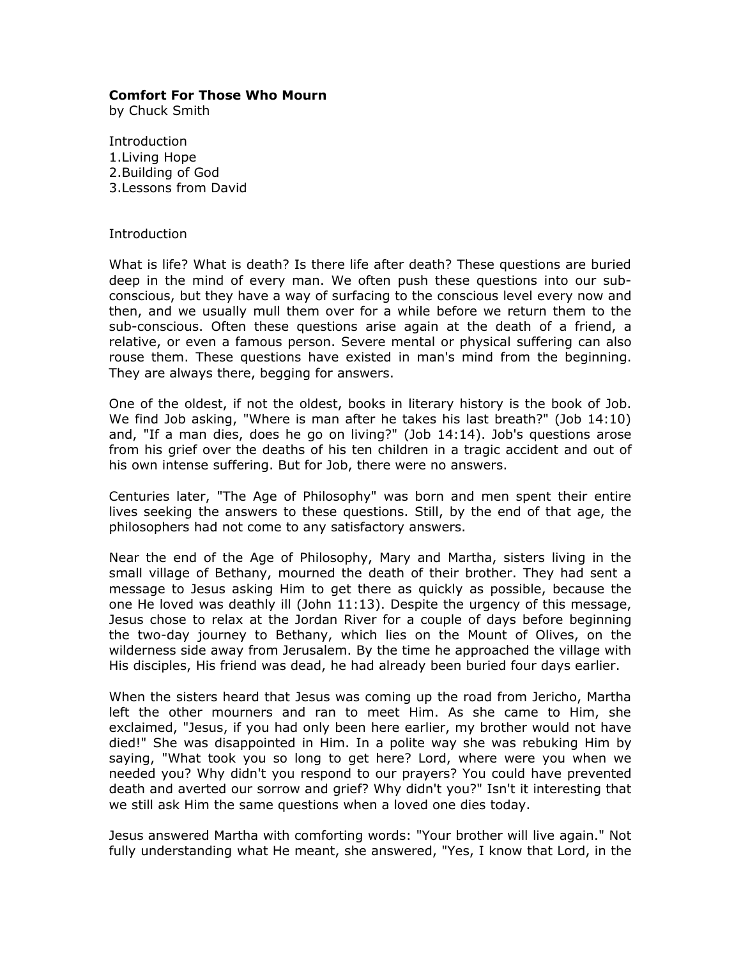# **Comfort For Those Who Mourn**

by Chuck Smith

Introduction 1.Living Hope 2.Building of God 3.Lessons from David

#### Introduction

What is life? What is death? Is there life after death? These questions are buried deep in the mind of every man. We often push these questions into our subconscious, but they have a way of surfacing to the conscious level every now and then, and we usually mull them over for a while before we return them to the sub-conscious. Often these questions arise again at the death of a friend, a relative, or even a famous person. Severe mental or physical suffering can also rouse them. These questions have existed in man's mind from the beginning. They are always there, begging for answers.

One of the oldest, if not the oldest, books in literary history is the book of Job. We find Job asking, "Where is man after he takes his last breath?" (Job 14:10) and, "If a man dies, does he go on living?" (Job 14:14). Job's questions arose from his grief over the deaths of his ten children in a tragic accident and out of his own intense suffering. But for Job, there were no answers.

Centuries later, "The Age of Philosophy" was born and men spent their entire lives seeking the answers to these questions. Still, by the end of that age, the philosophers had not come to any satisfactory answers.

Near the end of the Age of Philosophy, Mary and Martha, sisters living in the small village of Bethany, mourned the death of their brother. They had sent a message to Jesus asking Him to get there as quickly as possible, because the one He loved was deathly ill (John 11:13). Despite the urgency of this message, Jesus chose to relax at the Jordan River for a couple of days before beginning the two-day journey to Bethany, which lies on the Mount of Olives, on the wilderness side away from Jerusalem. By the time he approached the village with His disciples, His friend was dead, he had already been buried four days earlier.

When the sisters heard that Jesus was coming up the road from Jericho, Martha left the other mourners and ran to meet Him. As she came to Him, she exclaimed, "Jesus, if you had only been here earlier, my brother would not have died!" She was disappointed in Him. In a polite way she was rebuking Him by saying, "What took you so long to get here? Lord, where were you when we needed you? Why didn't you respond to our prayers? You could have prevented death and averted our sorrow and grief? Why didn't you?" Isn't it interesting that we still ask Him the same questions when a loved one dies today.

Jesus answered Martha with comforting words: "Your brother will live again." Not fully understanding what He meant, she answered, "Yes, I know that Lord, in the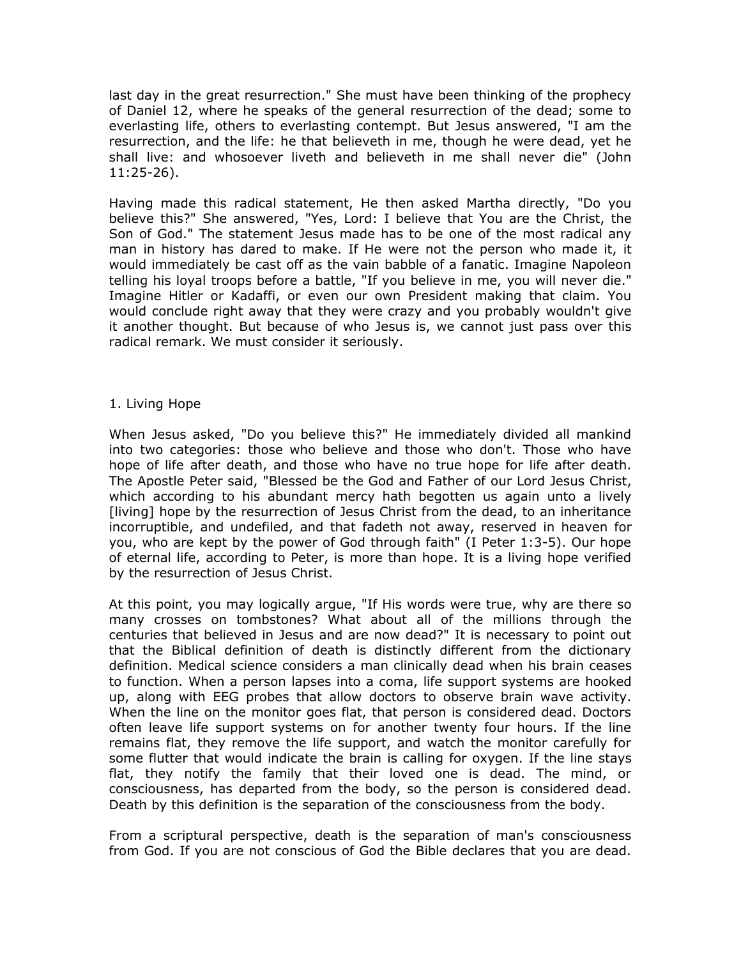last day in the great resurrection." She must have been thinking of the prophecy of Daniel 12, where he speaks of the general resurrection of the dead; some to everlasting life, others to everlasting contempt. But Jesus answered, "I am the resurrection, and the life: he that believeth in me, though he were dead, yet he shall live: and whosoever liveth and believeth in me shall never die" (John 11:25-26).

Having made this radical statement, He then asked Martha directly, "Do you believe this?" She answered, "Yes, Lord: I believe that You are the Christ, the Son of God." The statement Jesus made has to be one of the most radical any man in history has dared to make. If He were not the person who made it, it would immediately be cast off as the vain babble of a fanatic. Imagine Napoleon telling his loyal troops before a battle, "If you believe in me, you will never die." Imagine Hitler or Kadaffi, or even our own President making that claim. You would conclude right away that they were crazy and you probably wouldn't give it another thought. But because of who Jesus is, we cannot just pass over this radical remark. We must consider it seriously.

# 1. Living Hope

When Jesus asked, "Do you believe this?" He immediately divided all mankind into two categories: those who believe and those who don't. Those who have hope of life after death, and those who have no true hope for life after death. The Apostle Peter said, "Blessed be the God and Father of our Lord Jesus Christ, which according to his abundant mercy hath begotten us again unto a lively [living] hope by the resurrection of Jesus Christ from the dead, to an inheritance incorruptible, and undefiled, and that fadeth not away, reserved in heaven for you, who are kept by the power of God through faith" (I Peter 1:3-5). Our hope of eternal life, according to Peter, is more than hope. It is a living hope verified by the resurrection of Jesus Christ.

At this point, you may logically argue, "If His words were true, why are there so many crosses on tombstones? What about all of the millions through the centuries that believed in Jesus and are now dead?" It is necessary to point out that the Biblical definition of death is distinctly different from the dictionary definition. Medical science considers a man clinically dead when his brain ceases to function. When a person lapses into a coma, life support systems are hooked up, along with EEG probes that allow doctors to observe brain wave activity. When the line on the monitor goes flat, that person is considered dead. Doctors often leave life support systems on for another twenty four hours. If the line remains flat, they remove the life support, and watch the monitor carefully for some flutter that would indicate the brain is calling for oxygen. If the line stays flat, they notify the family that their loved one is dead. The mind, or consciousness, has departed from the body, so the person is considered dead. Death by this definition is the separation of the consciousness from the body.

From a scriptural perspective, death is the separation of man's consciousness from God. If you are not conscious of God the Bible declares that you are dead.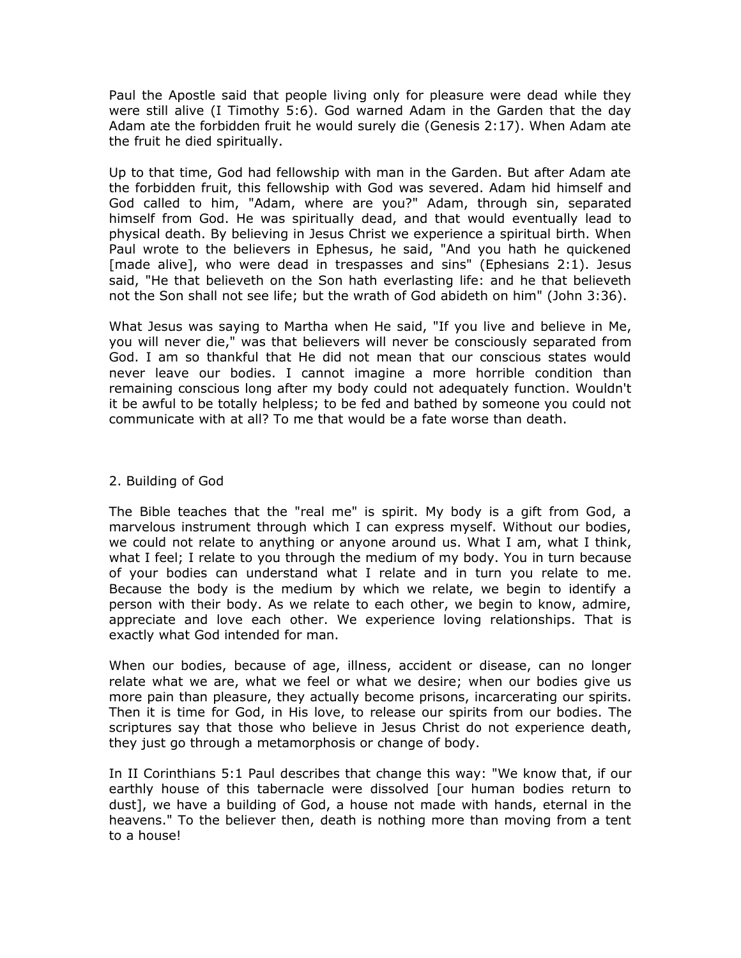Paul the Apostle said that people living only for pleasure were dead while they were still alive (I Timothy 5:6). God warned Adam in the Garden that the day Adam ate the forbidden fruit he would surely die (Genesis 2:17). When Adam ate the fruit he died spiritually.

Up to that time, God had fellowship with man in the Garden. But after Adam ate the forbidden fruit, this fellowship with God was severed. Adam hid himself and God called to him, "Adam, where are you?" Adam, through sin, separated himself from God. He was spiritually dead, and that would eventually lead to physical death. By believing in Jesus Christ we experience a spiritual birth. When Paul wrote to the believers in Ephesus, he said, "And you hath he quickened [made alive], who were dead in trespasses and sins" (Ephesians 2:1). Jesus said, "He that believeth on the Son hath everlasting life: and he that believeth not the Son shall not see life; but the wrath of God abideth on him" (John 3:36).

What Jesus was saying to Martha when He said, "If you live and believe in Me, you will never die," was that believers will never be consciously separated from God. I am so thankful that He did not mean that our conscious states would never leave our bodies. I cannot imagine a more horrible condition than remaining conscious long after my body could not adequately function. Wouldn't it be awful to be totally helpless; to be fed and bathed by someone you could not communicate with at all? To me that would be a fate worse than death.

## 2. Building of God

The Bible teaches that the "real me" is spirit. My body is a gift from God, a marvelous instrument through which I can express myself. Without our bodies, we could not relate to anything or anyone around us. What I am, what I think, what I feel; I relate to you through the medium of my body. You in turn because of your bodies can understand what I relate and in turn you relate to me. Because the body is the medium by which we relate, we begin to identify a person with their body. As we relate to each other, we begin to know, admire, appreciate and love each other. We experience loving relationships. That is exactly what God intended for man.

When our bodies, because of age, illness, accident or disease, can no longer relate what we are, what we feel or what we desire; when our bodies give us more pain than pleasure, they actually become prisons, incarcerating our spirits. Then it is time for God, in His love, to release our spirits from our bodies. The scriptures say that those who believe in Jesus Christ do not experience death, they just go through a metamorphosis or change of body.

In II Corinthians 5:1 Paul describes that change this way: "We know that, if our earthly house of this tabernacle were dissolved [our human bodies return to dust], we have a building of God, a house not made with hands, eternal in the heavens." To the believer then, death is nothing more than moving from a tent to a house!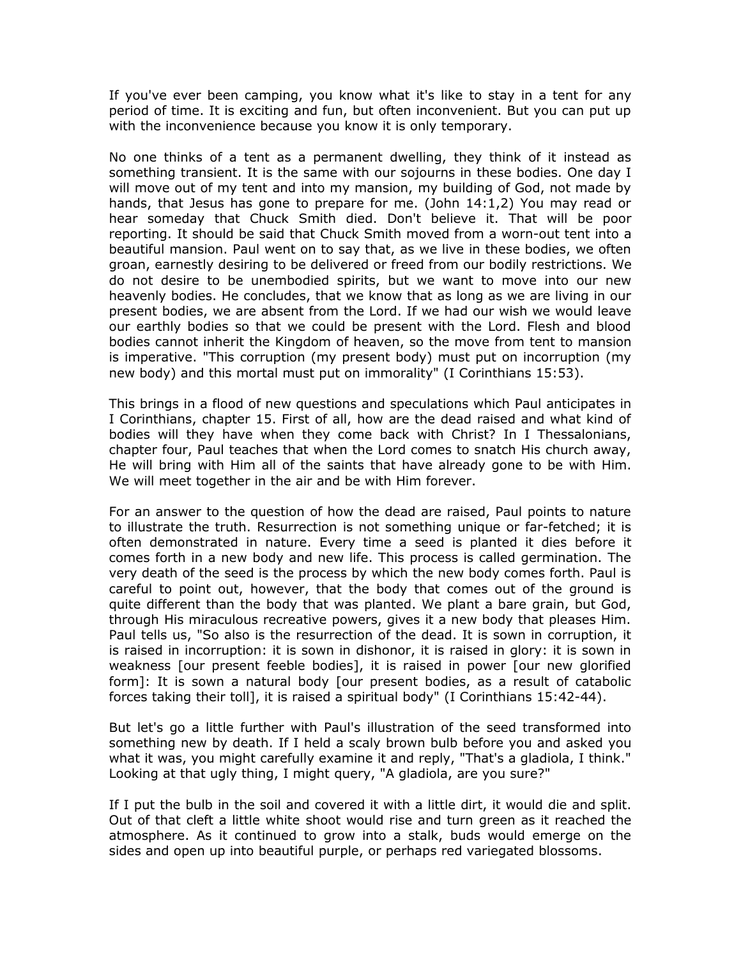If you've ever been camping, you know what it's like to stay in a tent for any period of time. It is exciting and fun, but often inconvenient. But you can put up with the inconvenience because you know it is only temporary.

No one thinks of a tent as a permanent dwelling, they think of it instead as something transient. It is the same with our sojourns in these bodies. One day I will move out of my tent and into my mansion, my building of God, not made by hands, that Jesus has gone to prepare for me. (John 14:1,2) You may read or hear someday that Chuck Smith died. Don't believe it. That will be poor reporting. It should be said that Chuck Smith moved from a worn-out tent into a beautiful mansion. Paul went on to say that, as we live in these bodies, we often groan, earnestly desiring to be delivered or freed from our bodily restrictions. We do not desire to be unembodied spirits, but we want to move into our new heavenly bodies. He concludes, that we know that as long as we are living in our present bodies, we are absent from the Lord. If we had our wish we would leave our earthly bodies so that we could be present with the Lord. Flesh and blood bodies cannot inherit the Kingdom of heaven, so the move from tent to mansion is imperative. "This corruption (my present body) must put on incorruption (my new body) and this mortal must put on immorality" (I Corinthians 15:53).

This brings in a flood of new questions and speculations which Paul anticipates in I Corinthians, chapter 15. First of all, how are the dead raised and what kind of bodies will they have when they come back with Christ? In I Thessalonians, chapter four, Paul teaches that when the Lord comes to snatch His church away, He will bring with Him all of the saints that have already gone to be with Him. We will meet together in the air and be with Him forever.

For an answer to the question of how the dead are raised, Paul points to nature to illustrate the truth. Resurrection is not something unique or far-fetched; it is often demonstrated in nature. Every time a seed is planted it dies before it comes forth in a new body and new life. This process is called germination. The very death of the seed is the process by which the new body comes forth. Paul is careful to point out, however, that the body that comes out of the ground is quite different than the body that was planted. We plant a bare grain, but God, through His miraculous recreative powers, gives it a new body that pleases Him. Paul tells us, "So also is the resurrection of the dead. It is sown in corruption, it is raised in incorruption: it is sown in dishonor, it is raised in glory: it is sown in weakness [our present feeble bodies], it is raised in power [our new glorified form]: It is sown a natural body [our present bodies, as a result of catabolic forces taking their toll], it is raised a spiritual body" (I Corinthians 15:42-44).

But let's go a little further with Paul's illustration of the seed transformed into something new by death. If I held a scaly brown bulb before you and asked you what it was, you might carefully examine it and reply, "That's a gladiola, I think." Looking at that ugly thing, I might query, "A gladiola, are you sure?"

If I put the bulb in the soil and covered it with a little dirt, it would die and split. Out of that cleft a little white shoot would rise and turn green as it reached the atmosphere. As it continued to grow into a stalk, buds would emerge on the sides and open up into beautiful purple, or perhaps red variegated blossoms.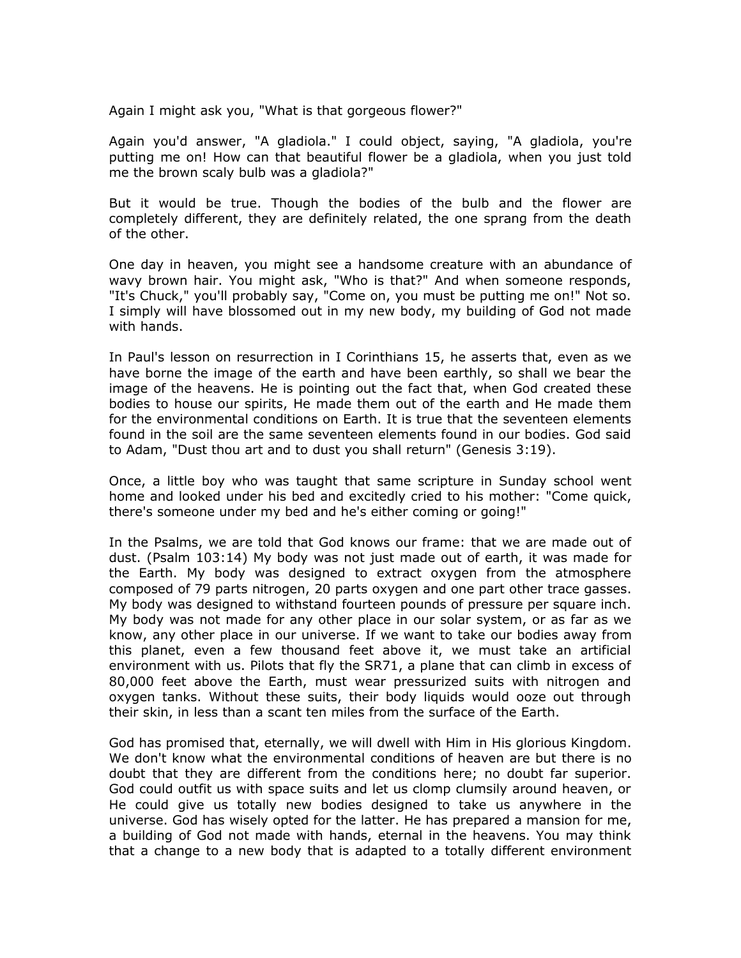Again I might ask you, "What is that gorgeous flower?"

Again you'd answer, "A gladiola." I could object, saying, "A gladiola, you're putting me on! How can that beautiful flower be a gladiola, when you just told me the brown scaly bulb was a gladiola?"

But it would be true. Though the bodies of the bulb and the flower are completely different, they are definitely related, the one sprang from the death of the other.

One day in heaven, you might see a handsome creature with an abundance of wavy brown hair. You might ask, "Who is that?" And when someone responds, "It's Chuck," you'll probably say, "Come on, you must be putting me on!" Not so. I simply will have blossomed out in my new body, my building of God not made with hands.

In Paul's lesson on resurrection in I Corinthians 15, he asserts that, even as we have borne the image of the earth and have been earthly, so shall we bear the image of the heavens. He is pointing out the fact that, when God created these bodies to house our spirits, He made them out of the earth and He made them for the environmental conditions on Earth. It is true that the seventeen elements found in the soil are the same seventeen elements found in our bodies. God said to Adam, "Dust thou art and to dust you shall return" (Genesis 3:19).

Once, a little boy who was taught that same scripture in Sunday school went home and looked under his bed and excitedly cried to his mother: "Come quick, there's someone under my bed and he's either coming or going!"

In the Psalms, we are told that God knows our frame: that we are made out of dust. (Psalm 103:14) My body was not just made out of earth, it was made for the Earth. My body was designed to extract oxygen from the atmosphere composed of 79 parts nitrogen, 20 parts oxygen and one part other trace gasses. My body was designed to withstand fourteen pounds of pressure per square inch. My body was not made for any other place in our solar system, or as far as we know, any other place in our universe. If we want to take our bodies away from this planet, even a few thousand feet above it, we must take an artificial environment with us. Pilots that fly the SR71, a plane that can climb in excess of 80,000 feet above the Earth, must wear pressurized suits with nitrogen and oxygen tanks. Without these suits, their body liquids would ooze out through their skin, in less than a scant ten miles from the surface of the Earth.

God has promised that, eternally, we will dwell with Him in His glorious Kingdom. We don't know what the environmental conditions of heaven are but there is no doubt that they are different from the conditions here; no doubt far superior. God could outfit us with space suits and let us clomp clumsily around heaven, or He could give us totally new bodies designed to take us anywhere in the universe. God has wisely opted for the latter. He has prepared a mansion for me, a building of God not made with hands, eternal in the heavens. You may think that a change to a new body that is adapted to a totally different environment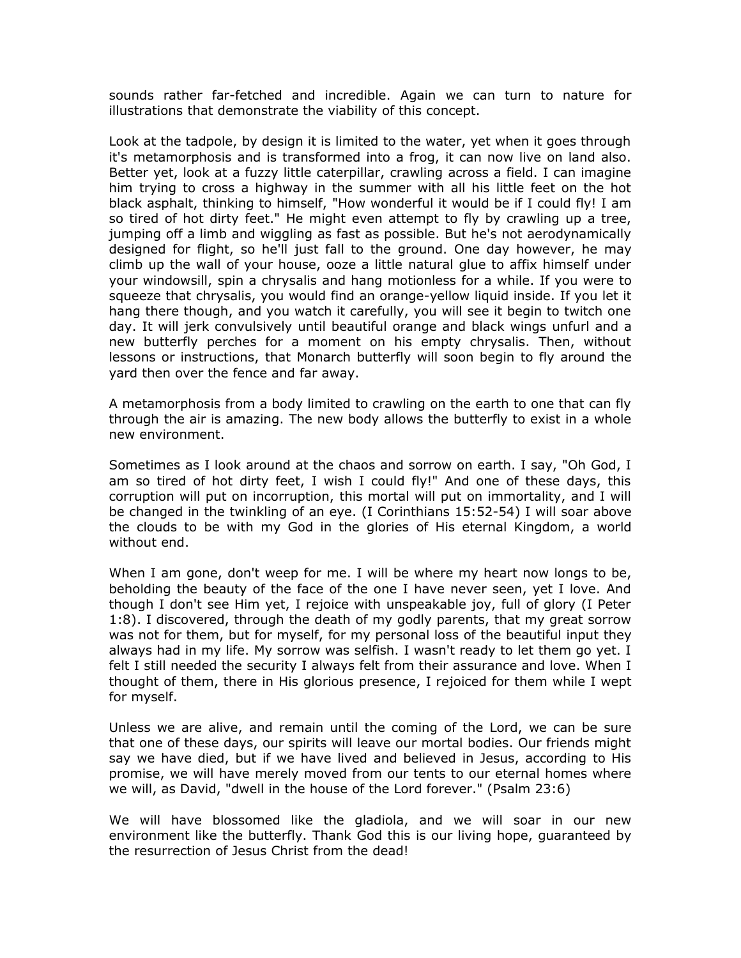sounds rather far-fetched and incredible. Again we can turn to nature for illustrations that demonstrate the viability of this concept.

Look at the tadpole, by design it is limited to the water, yet when it goes through it's metamorphosis and is transformed into a frog, it can now live on land also. Better yet, look at a fuzzy little caterpillar, crawling across a field. I can imagine him trying to cross a highway in the summer with all his little feet on the hot black asphalt, thinking to himself, "How wonderful it would be if I could fly! I am so tired of hot dirty feet." He might even attempt to fly by crawling up a tree, jumping off a limb and wiggling as fast as possible. But he's not aerodynamically designed for flight, so he'll just fall to the ground. One day however, he may climb up the wall of your house, ooze a little natural glue to affix himself under your windowsill, spin a chrysalis and hang motionless for a while. If you were to squeeze that chrysalis, you would find an orange-yellow liquid inside. If you let it hang there though, and you watch it carefully, you will see it begin to twitch one day. It will jerk convulsively until beautiful orange and black wings unfurl and a new butterfly perches for a moment on his empty chrysalis. Then, without lessons or instructions, that Monarch butterfly will soon begin to fly around the yard then over the fence and far away.

A metamorphosis from a body limited to crawling on the earth to one that can fly through the air is amazing. The new body allows the butterfly to exist in a whole new environment.

Sometimes as I look around at the chaos and sorrow on earth. I say, "Oh God, I am so tired of hot dirty feet, I wish I could fly!" And one of these days, this corruption will put on incorruption, this mortal will put on immortality, and I will be changed in the twinkling of an eye. (I Corinthians 15:52-54) I will soar above the clouds to be with my God in the glories of His eternal Kingdom, a world without end.

When I am gone, don't weep for me. I will be where my heart now longs to be, beholding the beauty of the face of the one I have never seen, yet I love. And though I don't see Him yet, I rejoice with unspeakable joy, full of glory (I Peter 1:8). I discovered, through the death of my godly parents, that my great sorrow was not for them, but for myself, for my personal loss of the beautiful input they always had in my life. My sorrow was selfish. I wasn't ready to let them go yet. I felt I still needed the security I always felt from their assurance and love. When I thought of them, there in His glorious presence, I rejoiced for them while I wept for myself.

Unless we are alive, and remain until the coming of the Lord, we can be sure that one of these days, our spirits will leave our mortal bodies. Our friends might say we have died, but if we have lived and believed in Jesus, according to His promise, we will have merely moved from our tents to our eternal homes where we will, as David, "dwell in the house of the Lord forever." (Psalm 23:6)

We will have blossomed like the gladiola, and we will soar in our new environment like the butterfly. Thank God this is our living hope, guaranteed by the resurrection of Jesus Christ from the dead!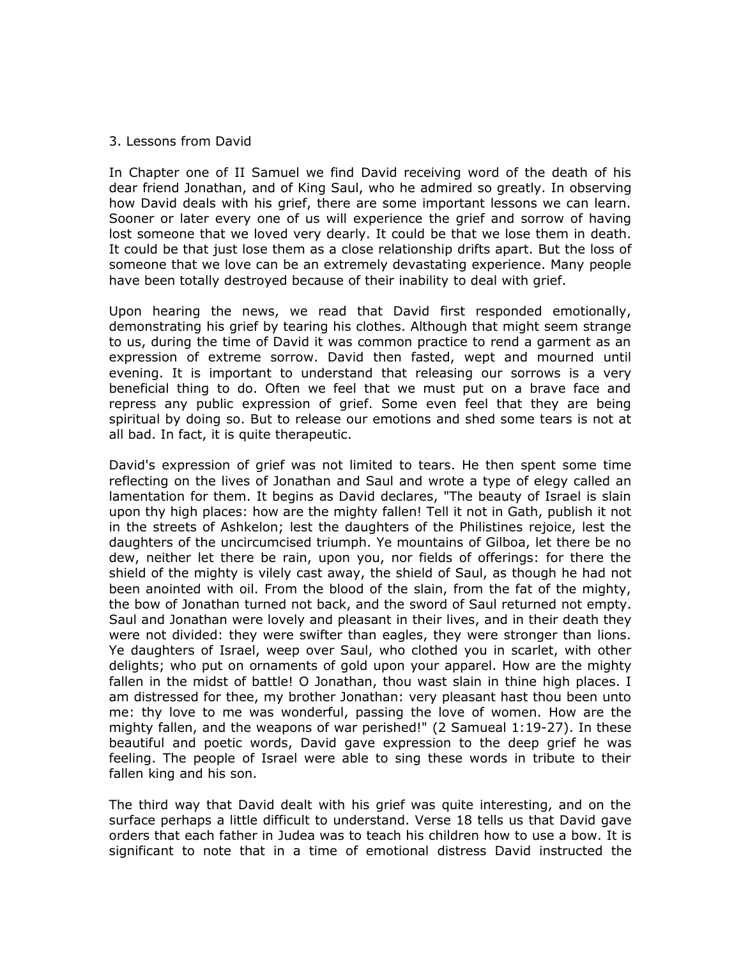### 3. Lessons from David

In Chapter one of II Samuel we find David receiving word of the death of his dear friend Jonathan, and of King Saul, who he admired so greatly. In observing how David deals with his grief, there are some important lessons we can learn. Sooner or later every one of us will experience the grief and sorrow of having lost someone that we loved very dearly. It could be that we lose them in death. It could be that just lose them as a close relationship drifts apart. But the loss of someone that we love can be an extremely devastating experience. Many people have been totally destroyed because of their inability to deal with grief.

Upon hearing the news, we read that David first responded emotionally, demonstrating his grief by tearing his clothes. Although that might seem strange to us, during the time of David it was common practice to rend a garment as an expression of extreme sorrow. David then fasted, wept and mourned until evening. It is important to understand that releasing our sorrows is a very beneficial thing to do. Often we feel that we must put on a brave face and repress any public expression of grief. Some even feel that they are being spiritual by doing so. But to release our emotions and shed some tears is not at all bad. In fact, it is quite therapeutic.

David's expression of grief was not limited to tears. He then spent some time reflecting on the lives of Jonathan and Saul and wrote a type of elegy called an lamentation for them. It begins as David declares, "The beauty of Israel is slain upon thy high places: how are the mighty fallen! Tell it not in Gath, publish it not in the streets of Ashkelon; lest the daughters of the Philistines rejoice, lest the daughters of the uncircumcised triumph. Ye mountains of Gilboa, let there be no dew, neither let there be rain, upon you, nor fields of offerings: for there the shield of the mighty is vilely cast away, the shield of Saul, as though he had not been anointed with oil. From the blood of the slain, from the fat of the mighty, the bow of Jonathan turned not back, and the sword of Saul returned not empty. Saul and Jonathan were lovely and pleasant in their lives, and in their death they were not divided: they were swifter than eagles, they were stronger than lions. Ye daughters of Israel, weep over Saul, who clothed you in scarlet, with other delights; who put on ornaments of gold upon your apparel. How are the mighty fallen in the midst of battle! O Jonathan, thou wast slain in thine high places. I am distressed for thee, my brother Jonathan: very pleasant hast thou been unto me: thy love to me was wonderful, passing the love of women. How are the mighty fallen, and the weapons of war perished!" (2 Samueal 1:19-27). In these beautiful and poetic words, David gave expression to the deep grief he was feeling. The people of Israel were able to sing these words in tribute to their fallen king and his son.

The third way that David dealt with his grief was quite interesting, and on the surface perhaps a little difficult to understand. Verse 18 tells us that David gave orders that each father in Judea was to teach his children how to use a bow. It is significant to note that in a time of emotional distress David instructed the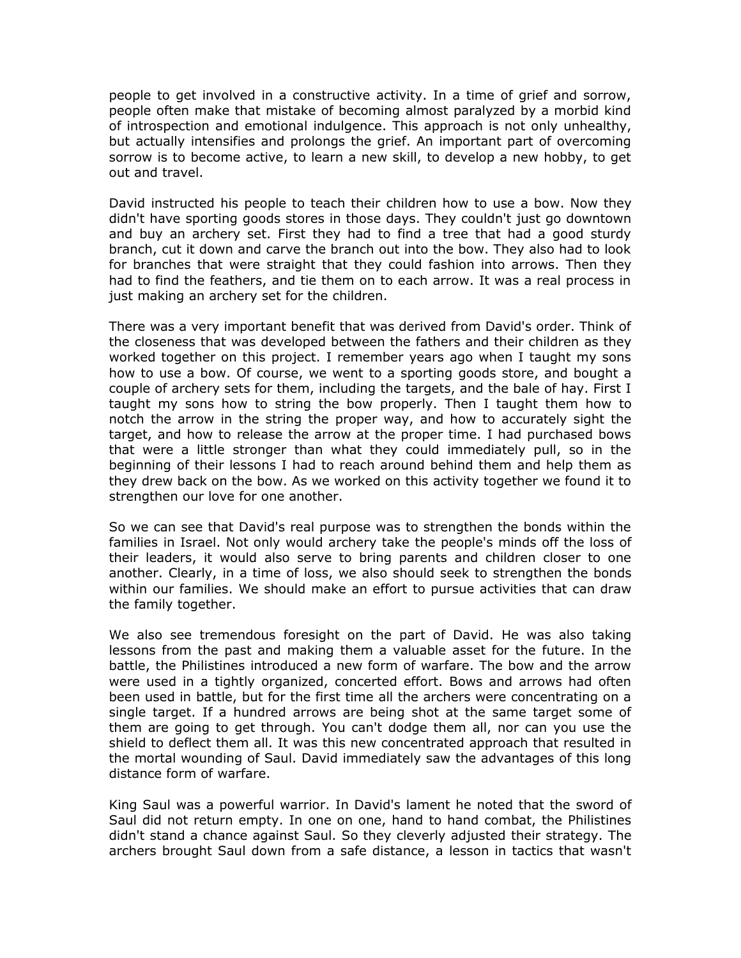people to get involved in a constructive activity. In a time of grief and sorrow, people often make that mistake of becoming almost paralyzed by a morbid kind of introspection and emotional indulgence. This approach is not only unhealthy, but actually intensifies and prolongs the grief. An important part of overcoming sorrow is to become active, to learn a new skill, to develop a new hobby, to get out and travel.

David instructed his people to teach their children how to use a bow. Now they didn't have sporting goods stores in those days. They couldn't just go downtown and buy an archery set. First they had to find a tree that had a good sturdy branch, cut it down and carve the branch out into the bow. They also had to look for branches that were straight that they could fashion into arrows. Then they had to find the feathers, and tie them on to each arrow. It was a real process in just making an archery set for the children.

There was a very important benefit that was derived from David's order. Think of the closeness that was developed between the fathers and their children as they worked together on this project. I remember years ago when I taught my sons how to use a bow. Of course, we went to a sporting goods store, and bought a couple of archery sets for them, including the targets, and the bale of hay. First I taught my sons how to string the bow properly. Then I taught them how to notch the arrow in the string the proper way, and how to accurately sight the target, and how to release the arrow at the proper time. I had purchased bows that were a little stronger than what they could immediately pull, so in the beginning of their lessons I had to reach around behind them and help them as they drew back on the bow. As we worked on this activity together we found it to strengthen our love for one another.

So we can see that David's real purpose was to strengthen the bonds within the families in Israel. Not only would archery take the people's minds off the loss of their leaders, it would also serve to bring parents and children closer to one another. Clearly, in a time of loss, we also should seek to strengthen the bonds within our families. We should make an effort to pursue activities that can draw the family together.

We also see tremendous foresight on the part of David. He was also taking lessons from the past and making them a valuable asset for the future. In the battle, the Philistines introduced a new form of warfare. The bow and the arrow were used in a tightly organized, concerted effort. Bows and arrows had often been used in battle, but for the first time all the archers were concentrating on a single target. If a hundred arrows are being shot at the same target some of them are going to get through. You can't dodge them all, nor can you use the shield to deflect them all. It was this new concentrated approach that resulted in the mortal wounding of Saul. David immediately saw the advantages of this long distance form of warfare.

King Saul was a powerful warrior. In David's lament he noted that the sword of Saul did not return empty. In one on one, hand to hand combat, the Philistines didn't stand a chance against Saul. So they cleverly adjusted their strategy. The archers brought Saul down from a safe distance, a lesson in tactics that wasn't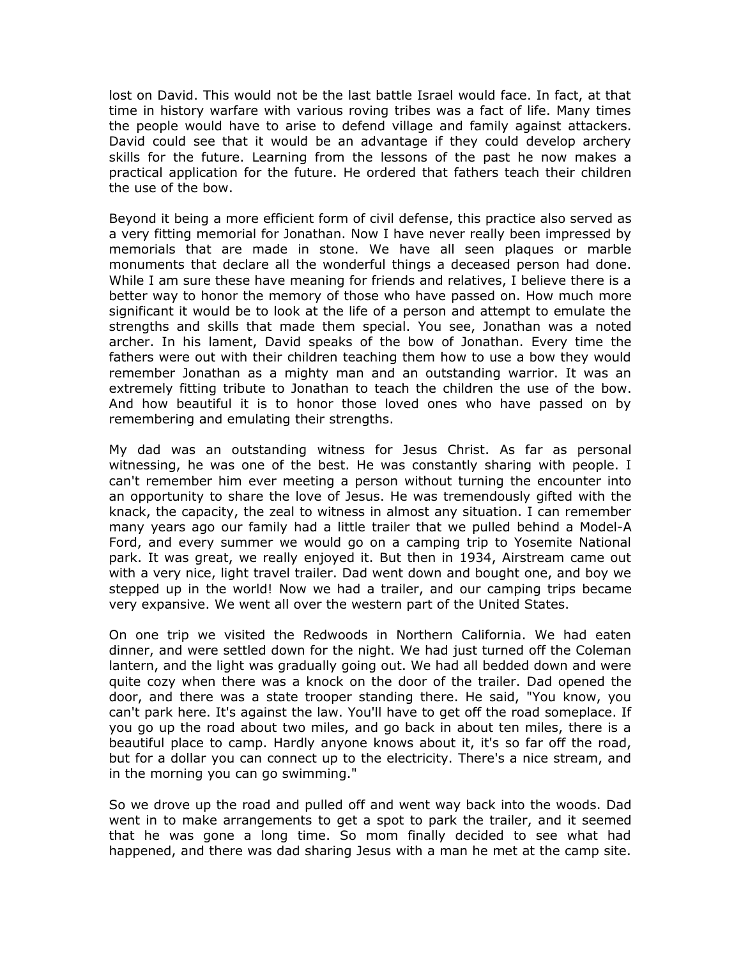lost on David. This would not be the last battle Israel would face. In fact, at that time in history warfare with various roving tribes was a fact of life. Many times the people would have to arise to defend village and family against attackers. David could see that it would be an advantage if they could develop archery skills for the future. Learning from the lessons of the past he now makes a practical application for the future. He ordered that fathers teach their children the use of the bow.

Beyond it being a more efficient form of civil defense, this practice also served as a very fitting memorial for Jonathan. Now I have never really been impressed by memorials that are made in stone. We have all seen plaques or marble monuments that declare all the wonderful things a deceased person had done. While I am sure these have meaning for friends and relatives, I believe there is a better way to honor the memory of those who have passed on. How much more significant it would be to look at the life of a person and attempt to emulate the strengths and skills that made them special. You see, Jonathan was a noted archer. In his lament, David speaks of the bow of Jonathan. Every time the fathers were out with their children teaching them how to use a bow they would remember Jonathan as a mighty man and an outstanding warrior. It was an extremely fitting tribute to Jonathan to teach the children the use of the bow. And how beautiful it is to honor those loved ones who have passed on by remembering and emulating their strengths.

My dad was an outstanding witness for Jesus Christ. As far as personal witnessing, he was one of the best. He was constantly sharing with people. I can't remember him ever meeting a person without turning the encounter into an opportunity to share the love of Jesus. He was tremendously gifted with the knack, the capacity, the zeal to witness in almost any situation. I can remember many years ago our family had a little trailer that we pulled behind a Model-A Ford, and every summer we would go on a camping trip to Yosemite National park. It was great, we really enjoyed it. But then in 1934, Airstream came out with a very nice, light travel trailer. Dad went down and bought one, and boy we stepped up in the world! Now we had a trailer, and our camping trips became very expansive. We went all over the western part of the United States.

On one trip we visited the Redwoods in Northern California. We had eaten dinner, and were settled down for the night. We had just turned off the Coleman lantern, and the light was gradually going out. We had all bedded down and were quite cozy when there was a knock on the door of the trailer. Dad opened the door, and there was a state trooper standing there. He said, "You know, you can't park here. It's against the law. You'll have to get off the road someplace. If you go up the road about two miles, and go back in about ten miles, there is a beautiful place to camp. Hardly anyone knows about it, it's so far off the road, but for a dollar you can connect up to the electricity. There's a nice stream, and in the morning you can go swimming."

So we drove up the road and pulled off and went way back into the woods. Dad went in to make arrangements to get a spot to park the trailer, and it seemed that he was gone a long time. So mom finally decided to see what had happened, and there was dad sharing Jesus with a man he met at the camp site.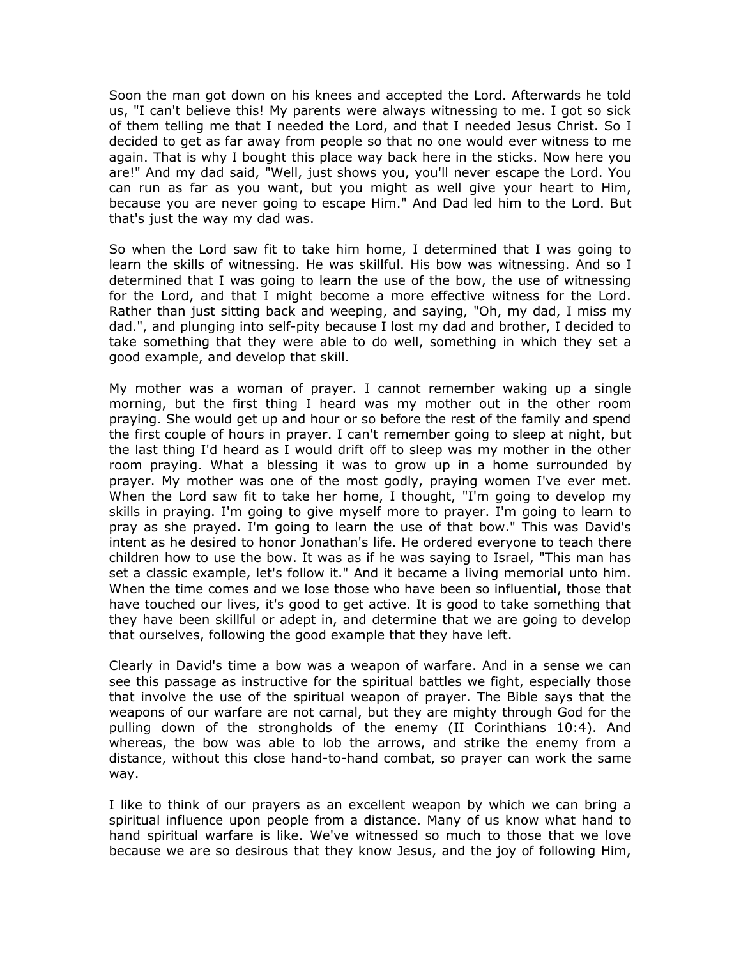Soon the man got down on his knees and accepted the Lord. Afterwards he told us, "I can't believe this! My parents were always witnessing to me. I got so sick of them telling me that I needed the Lord, and that I needed Jesus Christ. So I decided to get as far away from people so that no one would ever witness to me again. That is why I bought this place way back here in the sticks. Now here you are!" And my dad said, "Well, just shows you, you'll never escape the Lord. You can run as far as you want, but you might as well give your heart to Him, because you are never going to escape Him." And Dad led him to the Lord. But that's just the way my dad was.

So when the Lord saw fit to take him home, I determined that I was going to learn the skills of witnessing. He was skillful. His bow was witnessing. And so I determined that I was going to learn the use of the bow, the use of witnessing for the Lord, and that I might become a more effective witness for the Lord. Rather than just sitting back and weeping, and saying, "Oh, my dad, I miss my dad.", and plunging into self-pity because I lost my dad and brother, I decided to take something that they were able to do well, something in which they set a good example, and develop that skill.

My mother was a woman of prayer. I cannot remember waking up a single morning, but the first thing I heard was my mother out in the other room praying. She would get up and hour or so before the rest of the family and spend the first couple of hours in prayer. I can't remember going to sleep at night, but the last thing I'd heard as I would drift off to sleep was my mother in the other room praying. What a blessing it was to grow up in a home surrounded by prayer. My mother was one of the most godly, praying women I've ever met. When the Lord saw fit to take her home, I thought, "I'm going to develop my skills in praying. I'm going to give myself more to prayer. I'm going to learn to pray as she prayed. I'm going to learn the use of that bow." This was David's intent as he desired to honor Jonathan's life. He ordered everyone to teach there children how to use the bow. It was as if he was saying to Israel, "This man has set a classic example, let's follow it." And it became a living memorial unto him. When the time comes and we lose those who have been so influential, those that have touched our lives, it's good to get active. It is good to take something that they have been skillful or adept in, and determine that we are going to develop that ourselves, following the good example that they have left.

Clearly in David's time a bow was a weapon of warfare. And in a sense we can see this passage as instructive for the spiritual battles we fight, especially those that involve the use of the spiritual weapon of prayer. The Bible says that the weapons of our warfare are not carnal, but they are mighty through God for the pulling down of the strongholds of the enemy (II Corinthians 10:4). And whereas, the bow was able to lob the arrows, and strike the enemy from a distance, without this close hand-to-hand combat, so prayer can work the same way.

I like to think of our prayers as an excellent weapon by which we can bring a spiritual influence upon people from a distance. Many of us know what hand to hand spiritual warfare is like. We've witnessed so much to those that we love because we are so desirous that they know Jesus, and the joy of following Him,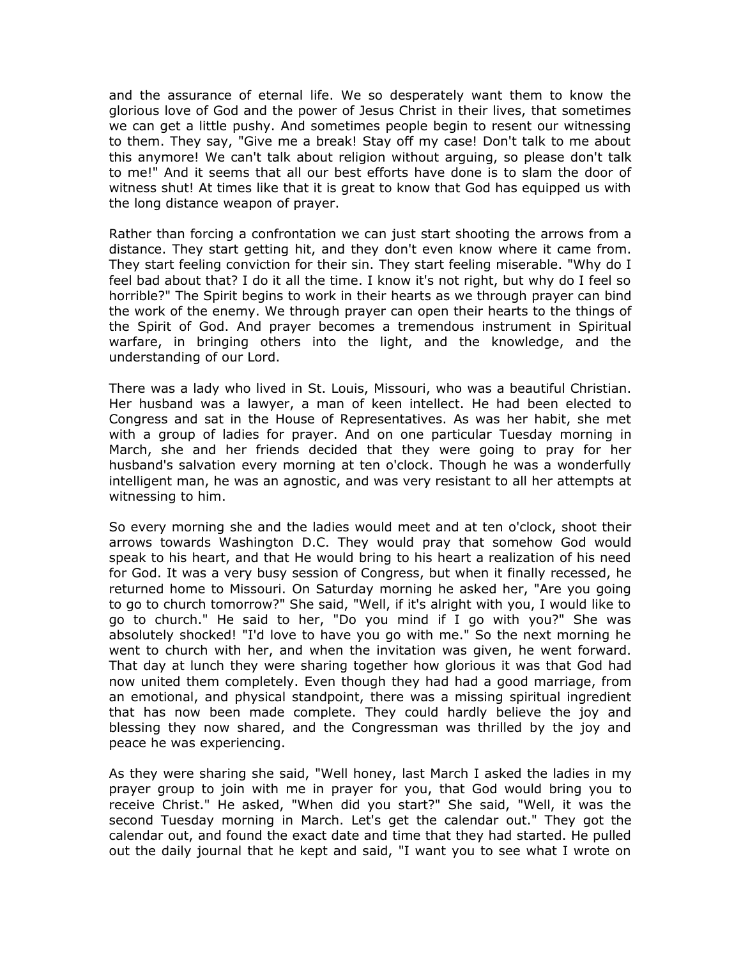and the assurance of eternal life. We so desperately want them to know the glorious love of God and the power of Jesus Christ in their lives, that sometimes we can get a little pushy. And sometimes people begin to resent our witnessing to them. They say, "Give me a break! Stay off my case! Don't talk to me about this anymore! We can't talk about religion without arguing, so please don't talk to me!" And it seems that all our best efforts have done is to slam the door of witness shut! At times like that it is great to know that God has equipped us with the long distance weapon of prayer.

Rather than forcing a confrontation we can just start shooting the arrows from a distance. They start getting hit, and they don't even know where it came from. They start feeling conviction for their sin. They start feeling miserable. "Why do I feel bad about that? I do it all the time. I know it's not right, but why do I feel so horrible?" The Spirit begins to work in their hearts as we through prayer can bind the work of the enemy. We through prayer can open their hearts to the things of the Spirit of God. And prayer becomes a tremendous instrument in Spiritual warfare, in bringing others into the light, and the knowledge, and the understanding of our Lord.

There was a lady who lived in St. Louis, Missouri, who was a beautiful Christian. Her husband was a lawyer, a man of keen intellect. He had been elected to Congress and sat in the House of Representatives. As was her habit, she met with a group of ladies for prayer. And on one particular Tuesday morning in March, she and her friends decided that they were going to pray for her husband's salvation every morning at ten o'clock. Though he was a wonderfully intelligent man, he was an agnostic, and was very resistant to all her attempts at witnessing to him.

So every morning she and the ladies would meet and at ten o'clock, shoot their arrows towards Washington D.C. They would pray that somehow God would speak to his heart, and that He would bring to his heart a realization of his need for God. It was a very busy session of Congress, but when it finally recessed, he returned home to Missouri. On Saturday morning he asked her, "Are you going to go to church tomorrow?" She said, "Well, if it's alright with you, I would like to go to church." He said to her, "Do you mind if I go with you?" She was absolutely shocked! "I'd love to have you go with me." So the next morning he went to church with her, and when the invitation was given, he went forward. That day at lunch they were sharing together how glorious it was that God had now united them completely. Even though they had had a good marriage, from an emotional, and physical standpoint, there was a missing spiritual ingredient that has now been made complete. They could hardly believe the joy and blessing they now shared, and the Congressman was thrilled by the joy and peace he was experiencing.

As they were sharing she said, "Well honey, last March I asked the ladies in my prayer group to join with me in prayer for you, that God would bring you to receive Christ." He asked, "When did you start?" She said, "Well, it was the second Tuesday morning in March. Let's get the calendar out." They got the calendar out, and found the exact date and time that they had started. He pulled out the daily journal that he kept and said, "I want you to see what I wrote on